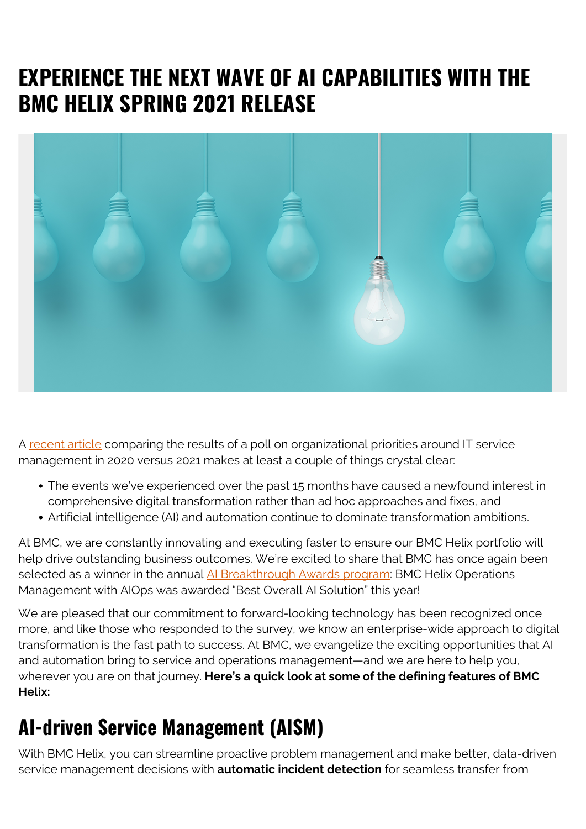## **EXPERIENCE THE NEXT WAVE OF AI CAPABILITIES WITH THE BMC HELIX SPRING 2021 RELEASE**



A [recent article](https://itsm.tools/hottest-itsm-trends-topics-2021/) comparing the results of a poll on organizational priorities around IT service management in 2020 versus 2021 makes at least a couple of things crystal clear:

- The events we've experienced over the past 15 months have caused a newfound interest in comprehensive digital transformation rather than ad hoc approaches and fixes, and
- Artificial intelligence (AI) and automation continue to dominate transformation ambitions.

At BMC, we are constantly innovating and executing faster to ensure our BMC Helix portfolio will help drive outstanding business outcomes. We're excited to share that BMC has once again been selected as a winner in the annual [AI Breakthrough Awards program](https://aibreakthroughawards.com/2021-winners/): BMC Helix Operations Management with AIOps was awarded "Best Overall AI Solution" this year!

We are pleased that our commitment to forward-looking technology has been recognized once more, and like those who responded to the survey, we know an enterprise-wide approach to digital transformation is the fast path to success. At BMC, we evangelize the exciting opportunities that AI and automation bring to service and operations management—and we are here to help you, wherever you are on that journey. **Here's a quick look at some of the defining features of BMC Helix:**

#### **AI-driven Service Management (AISM)**

With BMC Helix, you can streamline proactive problem management and make better, data-driven service management decisions with **automatic incident detection** for seamless transfer from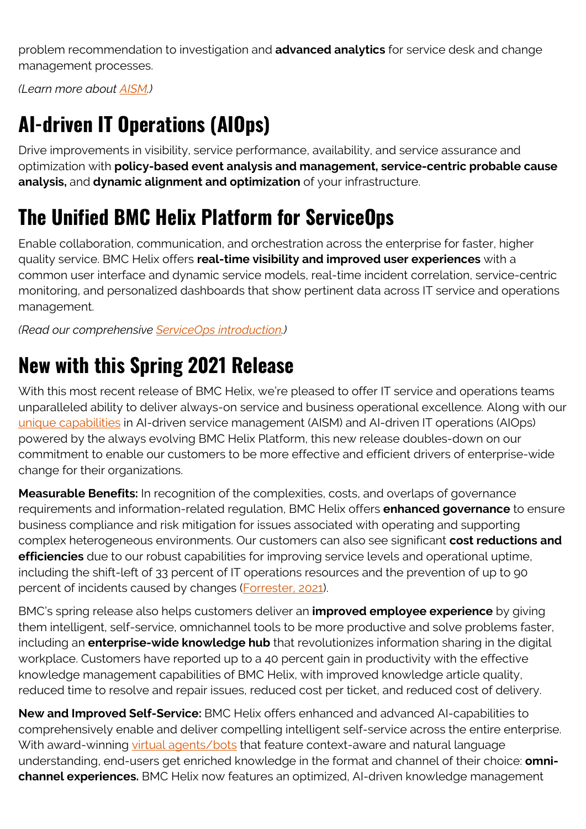problem recommendation to investigation and **advanced analytics** for service desk and change management processes.

*(Learn more about [AISM.](https://blogs.bmc.com/blogs/aism-ai-service-management/))*

# **AI-driven IT Operations (AIOps)**

Drive improvements in visibility, service performance, availability, and service assurance and optimization with **policy-based event analysis and management, service-centric probable cause analysis,** and **dynamic alignment and optimization** of your infrastructure.

## **The Unified BMC Helix Platform for ServiceOps**

Enable collaboration, communication, and orchestration across the enterprise for faster, higher quality service. BMC Helix offers **real-time visibility and improved user experiences** with a common user interface and dynamic service models, real-time incident correlation, service-centric monitoring, and personalized dashboards that show pertinent data across IT service and operations management.

*(Read our comprehensive [ServiceOps introduction](https://blogs.bmc.com/blogs/serviceops/).)*

#### **New with this Spring 2021 Release**

With this most recent release of BMC Helix, we're pleased to offer IT service and operations teams unparalleled ability to deliver always-on service and business operational excellence*.* Along with our [unique capabilities](https://blogs.bmc.com/blogs/bmc-helix-aism-aiops/) in AI-driven service management (AISM) and AI-driven IT operations (AIOps) powered by the always evolving BMC Helix Platform, this new release doubles-down on our commitment to enable our customers to be more effective and efficient drivers of enterprise-wide change for their organizations.

**Measurable Benefits:** In recognition of the complexities, costs, and overlaps of governance requirements and information-related regulation, BMC Helix offers **enhanced governance** to ensure business compliance and risk mitigation for issues associated with operating and supporting complex heterogeneous environments. Our customers can also see significant **cost reductions and efficiencies** due to our robust capabilities for improving service levels and operational uptime, including the shift-left of 33 percent of IT operations resources and the prevention of up to 90 percent of incidents caused by changes ([Forrester, 2021](https://blogs.bmc.com/forms/forrester-report-total-economic-impact-of-bmc-helix.html)).

BMC's spring release also helps customers deliver an **improved employee experience** by giving them intelligent, self-service, omnichannel tools to be more productive and solve problems faster, including an **enterprise-wide knowledge hub** that revolutionizes information sharing in the digital workplace. Customers have reported up to a 40 percent gain in productivity with the effective knowledge management capabilities of BMC Helix, with improved knowledge article quality, reduced time to resolve and repair issues, reduced cost per ticket, and reduced cost of delivery.

**New and Improved Self-Service:** BMC Helix offers enhanced and advanced AI-capabilities to comprehensively enable and deliver compelling intelligent self-service across the entire enterprise. With award-winning [virtual agents/bots](https://blogs.bmc.com/it-solutions/bmc-helix-virtual-agent.html) that feature context-aware and natural language understanding, end-users get enriched knowledge in the format and channel of their choice: **omnichannel experiences.** BMC Helix now features an optimized, AI-driven knowledge management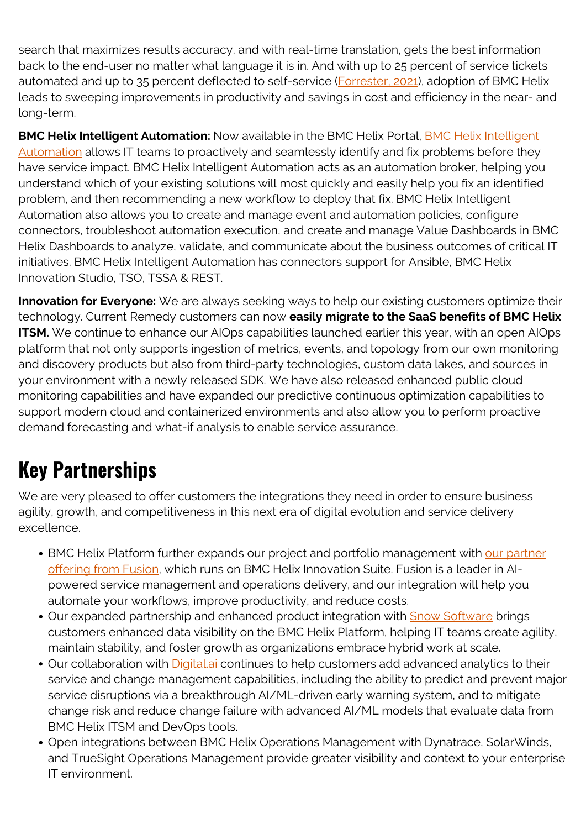search that maximizes results accuracy, and with real-time translation, gets the best information back to the end-user no matter what language it is in. And with up to 25 percent of service tickets automated and up to 35 percent deflected to self-service [\(Forrester, 2021\)](https://blogs.bmc.com/forms/forrester-report-total-economic-impact-of-bmc-helix.html), adoption of BMC Helix leads to sweeping improvements in productivity and savings in cost and efficiency in the near- and long-term.

**BMC Helix Intelligent Automation:** Now available in the BMC Helix Portal, [BMC Helix Intelligent](https://blogs.bmc.com/blogs/introducing-bmc-helix-intelligent-automation/) [Automation](https://blogs.bmc.com/blogs/introducing-bmc-helix-intelligent-automation/) allows IT teams to proactively and seamlessly identify and fix problems before they have service impact. BMC Helix Intelligent Automation acts as an automation broker, helping you understand which of your existing solutions will most quickly and easily help you fix an identified problem, and then recommending a new workflow to deploy that fix. BMC Helix Intelligent Automation also allows you to create and manage event and automation policies, configure connectors, troubleshoot automation execution, and create and manage Value Dashboards in BMC Helix Dashboards to analyze, validate, and communicate about the business outcomes of critical IT initiatives. BMC Helix Intelligent Automation has connectors support for Ansible, BMC Helix Innovation Studio, TSO, TSSA & REST.

**Innovation for Everyone:** We are always seeking ways to help our existing customers optimize their technology. Current Remedy customers can now **easily migrate to the SaaS benefits of BMC Helix ITSM.** We continue to enhance our AIOps capabilities launched earlier this year, with an open AIOps platform that not only supports ingestion of metrics, events, and topology from our own monitoring and discovery products but also from third-party technologies, custom data lakes, and sources in your environment with a newly released SDK. We have also released enhanced public cloud monitoring capabilities and have expanded our predictive continuous optimization capabilities to support modern cloud and containerized environments and also allow you to perform proactive demand forecasting and what-if analysis to enable service assurance.

# **Key Partnerships**

We are very pleased to offer customers the integrations they need in order to ensure business agility, growth, and competitiveness in this next era of digital evolution and service delivery excellence.

- BMC Helix Platform further expands our project and portfolio management with [our partner](https://www.fusiongbs.com/helix-agility-suite/) [offering from Fusion](https://www.fusiongbs.com/helix-agility-suite/), which runs on BMC Helix Innovation Suite. Fusion is a leader in AIpowered service management and operations delivery, and our integration will help you automate your workflows, improve productivity, and reduce costs.
- Our expanded partnership and enhanced product integration with **Snow Software** brings customers enhanced data visibility on the BMC Helix Platform, helping IT teams create agility, maintain stability, and foster growth as organizations embrace hybrid work at scale.
- Our collaboration with Digital ai continues to help customers add advanced analytics to their service and change management capabilities, including the ability to predict and prevent major service disruptions via a breakthrough AI/ML-driven early warning system, and to mitigate change risk and reduce change failure with advanced AI/ML models that evaluate data from BMC Helix ITSM and DevOps tools.
- Open integrations between BMC Helix Operations Management with Dynatrace, SolarWinds, and TrueSight Operations Management provide greater visibility and context to your enterprise IT environment.